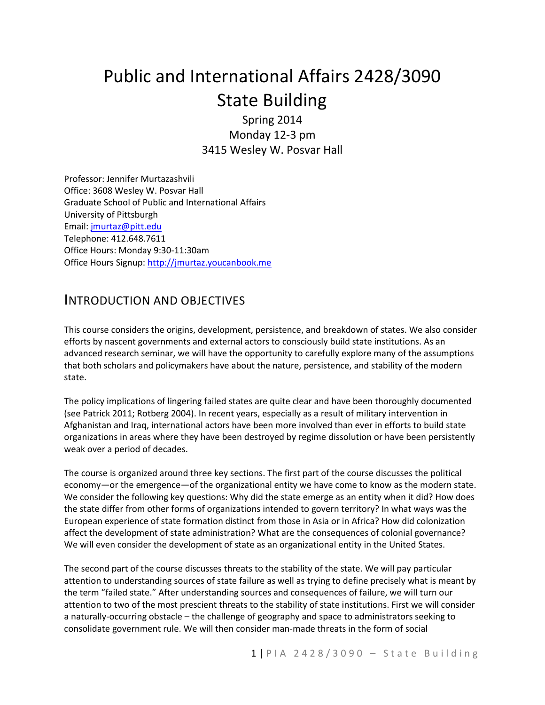# Public and International Affairs 2428/3090 State Building

Spring 2014 Monday 12-3 pm 3415 Wesley W. Posvar Hall

Professor: Jennifer Murtazashvili Office: 3608 Wesley W. Posvar Hall Graduate School of Public and International Affairs University of Pittsburgh Email: [jmurtaz@pitt.edu](mailto:jmurtaz@pitt.edu) Telephone: 412.648.7611 Office Hours: Monday 9:30-11:30am Office Hours Signup[: http://jmurtaz.youcanbook.me](http://jmurtaz.youcanbook.me/)

### INTRODUCTION AND OBJECTIVES

This course considers the origins, development, persistence, and breakdown of states. We also consider efforts by nascent governments and external actors to consciously build state institutions. As an advanced research seminar, we will have the opportunity to carefully explore many of the assumptions that both scholars and policymakers have about the nature, persistence, and stability of the modern state.

The policy implications of lingering failed states are quite clear and have been thoroughly documented (see Patrick 2011; Rotberg 2004). In recent years, especially as a result of military intervention in Afghanistan and Iraq, international actors have been more involved than ever in efforts to build state organizations in areas where they have been destroyed by regime dissolution or have been persistently weak over a period of decades.

The course is organized around three key sections. The first part of the course discusses the political economy—or the emergence—of the organizational entity we have come to know as the modern state. We consider the following key questions: Why did the state emerge as an entity when it did? How does the state differ from other forms of organizations intended to govern territory? In what ways was the European experience of state formation distinct from those in Asia or in Africa? How did colonization affect the development of state administration? What are the consequences of colonial governance? We will even consider the development of state as an organizational entity in the United States.

The second part of the course discusses threats to the stability of the state. We will pay particular attention to understanding sources of state failure as well as trying to define precisely what is meant by the term "failed state." After understanding sources and consequences of failure, we will turn our attention to two of the most prescient threats to the stability of state institutions. First we will consider a naturally-occurring obstacle – the challenge of geography and space to administrators seeking to consolidate government rule. We will then consider man-made threats in the form of social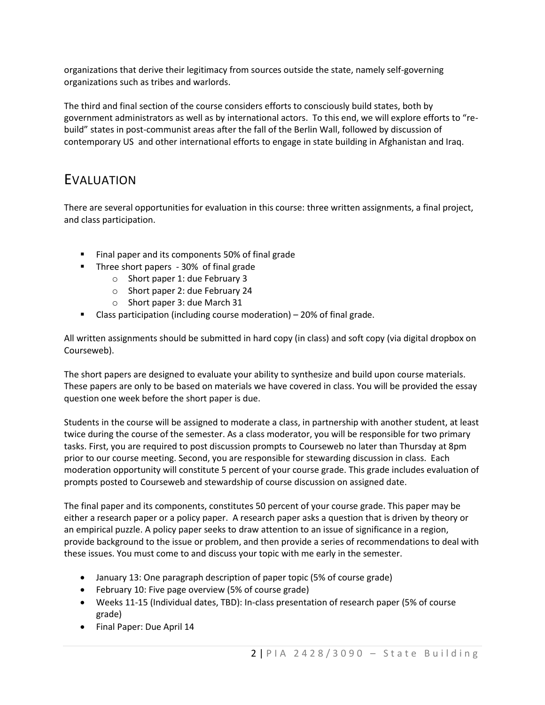organizations that derive their legitimacy from sources outside the state, namely self-governing organizations such as tribes and warlords.

The third and final section of the course considers efforts to consciously build states, both by government administrators as well as by international actors. To this end, we will explore efforts to "rebuild" states in post-communist areas after the fall of the Berlin Wall, followed by discussion of contemporary US and other international efforts to engage in state building in Afghanistan and Iraq.

### EVALUATION

There are several opportunities for evaluation in this course: three written assignments, a final project, and class participation.

- Final paper and its components 50% of final grade
- Three short papers 30% of final grade
	- o Short paper 1: due February 3
	- o Short paper 2: due February 24
	- o Short paper 3: due March 31
- **Class participation (including course moderation)**  $-$  20% of final grade.

All written assignments should be submitted in hard copy (in class) and soft copy (via digital dropbox on Courseweb).

The short papers are designed to evaluate your ability to synthesize and build upon course materials. These papers are only to be based on materials we have covered in class. You will be provided the essay question one week before the short paper is due.

Students in the course will be assigned to moderate a class, in partnership with another student, at least twice during the course of the semester. As a class moderator, you will be responsible for two primary tasks. First, you are required to post discussion prompts to Courseweb no later than Thursday at 8pm prior to our course meeting. Second, you are responsible for stewarding discussion in class. Each moderation opportunity will constitute 5 percent of your course grade. This grade includes evaluation of prompts posted to Courseweb and stewardship of course discussion on assigned date.

The final paper and its components, constitutes 50 percent of your course grade. This paper may be either a research paper or a policy paper. A research paper asks a question that is driven by theory or an empirical puzzle. A policy paper seeks to draw attention to an issue of significance in a region, provide background to the issue or problem, and then provide a series of recommendations to deal with these issues. You must come to and discuss your topic with me early in the semester.

- January 13: One paragraph description of paper topic (5% of course grade)
- February 10: Five page overview (5% of course grade)
- Weeks 11-15 (Individual dates, TBD): In-class presentation of research paper (5% of course grade)
- Final Paper: Due April 14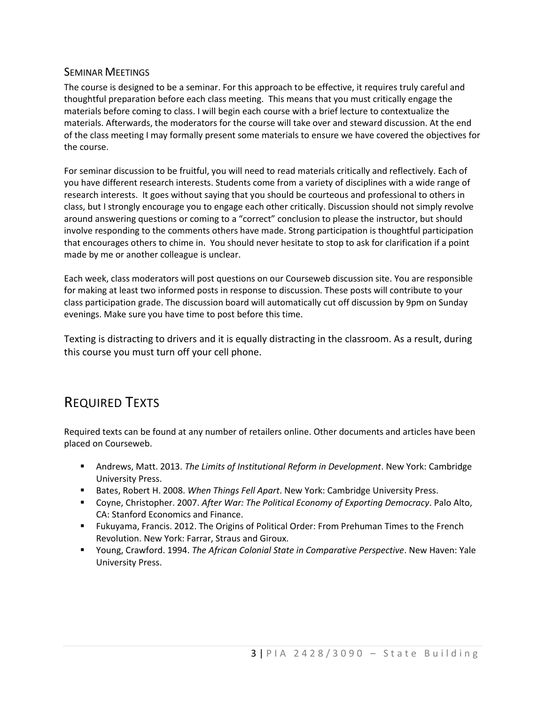#### SEMINAR MEETINGS

The course is designed to be a seminar. For this approach to be effective, it requires truly careful and thoughtful preparation before each class meeting. This means that you must critically engage the materials before coming to class. I will begin each course with a brief lecture to contextualize the materials. Afterwards, the moderators for the course will take over and steward discussion. At the end of the class meeting I may formally present some materials to ensure we have covered the objectives for the course.

For seminar discussion to be fruitful, you will need to read materials critically and reflectively. Each of you have different research interests. Students come from a variety of disciplines with a wide range of research interests. It goes without saying that you should be courteous and professional to others in class, but I strongly encourage you to engage each other critically. Discussion should not simply revolve around answering questions or coming to a "correct" conclusion to please the instructor, but should involve responding to the comments others have made. Strong participation is thoughtful participation that encourages others to chime in. You should never hesitate to stop to ask for clarification if a point made by me or another colleague is unclear.

Each week, class moderators will post questions on our Courseweb discussion site. You are responsible for making at least two informed posts in response to discussion. These posts will contribute to your class participation grade. The discussion board will automatically cut off discussion by 9pm on Sunday evenings. Make sure you have time to post before this time.

Texting is distracting to drivers and it is equally distracting in the classroom. As a result, during this course you must turn off your cell phone.

# REQUIRED TEXTS

Required texts can be found at any number of retailers online. Other documents and articles have been placed on Courseweb.

- Andrews, Matt. 2013. *The Limits of Institutional Reform in Development*. New York: Cambridge University Press.
- Bates, Robert H. 2008. *When Things Fell Apart*. New York: Cambridge University Press.
- Coyne, Christopher. 2007. *After War: The Political Economy of Exporting Democracy*. Palo Alto, CA: Stanford Economics and Finance.
- Fukuyama, Francis. 2012. The Origins of Political Order: From Prehuman Times to the French Revolution. New York: Farrar, Straus and Giroux.
- Young, Crawford. 1994. *The African Colonial State in Comparative Perspective*. New Haven: Yale University Press.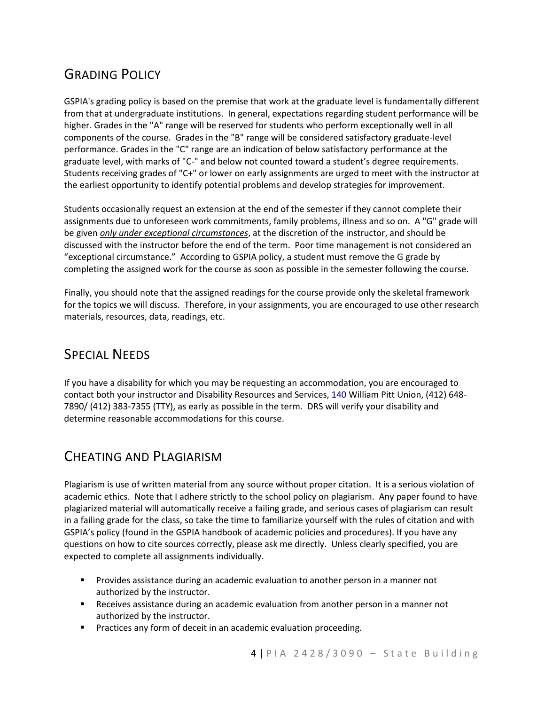# GRADING POLICY

GSPIA's grading policy is based on the premise that work at the graduate level is fundamentally different from that at undergraduate institutions. In general, expectations regarding student performance will be higher. Grades in the "A" range will be reserved for students who perform exceptionally well in all components of the course. Grades in the "B" range will be considered satisfactory graduate-level performance. Grades in the "C" range are an indication of below satisfactory performance at the graduate level, with marks of "C-" and below not counted toward a student's degree requirements. Students receiving grades of "C+" or lower on early assignments are urged to meet with the instructor at the earliest opportunity to identify potential problems and develop strategies for improvement.

Students occasionally request an extension at the end of the semester if they cannot complete their assignments due to unforeseen work commitments, family problems, illness and so on. A "G" grade will be given *only under exceptional circumstances*, at the discretion of the instructor, and should be discussed with the instructor before the end of the term. Poor time management is not considered an "exceptional circumstance." According to GSPIA policy, a student must remove the G grade by completing the assigned work for the course as soon as possible in the semester following the course.

Finally, you should note that the assigned readings for the course provide only the skeletal framework for the topics we will discuss. Therefore, in your assignments, you are encouraged to use other research materials, resources, data, readings, etc.

### SPECIAL NEEDS

If you have a disability for which you may be requesting an accommodation, you are encouraged to contact both your instructor and Disability Resources and Services, 140 William Pitt Union, (412) 648- 7890/ (412) 383-7355 (TTY), as early as possible in the term. DRS will verify your disability and determine reasonable accommodations for this course.

# CHEATING AND PLAGIARISM

Plagiarism is use of written material from any source without proper citation. It is a serious violation of academic ethics. Note that I adhere strictly to the school policy on plagiarism. Any paper found to have plagiarized material will automatically receive a failing grade, and serious cases of plagiarism can result in a failing grade for the class, so take the time to familiarize yourself with the rules of citation and with GSPIA's policy (found in the GSPIA handbook of academic policies and procedures). If you have any questions on how to cite sources correctly, please ask me directly. Unless clearly specified, you are expected to complete all assignments individually.

- **Provides assistance during an academic evaluation to another person in a manner not** authorized by the instructor.
- Receives assistance during an academic evaluation from another person in a manner not authorized by the instructor.
- **Practices any form of deceit in an academic evaluation proceeding.**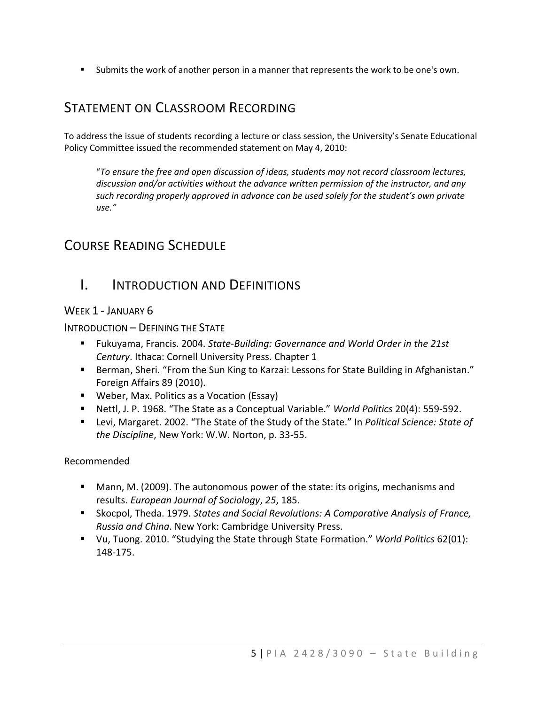Submits the work of another person in a manner that represents the work to be one's own.

### STATEMENT ON CLASSROOM RECORDING

To address the issue of students recording a lecture or class session, the University's Senate Educational Policy Committee issued the recommended statement on May 4, 2010:

"*To ensure the free and open discussion of ideas, students may not record classroom lectures, discussion and/or activities without the advance written permission of the instructor, and any such recording properly approved in advance can be used solely for the student's own private use."* 

# COURSE READING SCHEDULE

### I. INTRODUCTION AND DEFINITIONS

#### WEEK 1 - JANUARY 6

INTRODUCTION – DEFINING THE STATE

- Fukuyama, Francis. 2004. *State-Building: Governance and World Order in the 21st Century*. Ithaca: Cornell University Press. Chapter 1
- [Berman,](https://courseweb.pitt.edu/bbcswebdav/pid-16329583-dt-content-rid-4052119_2/xid-4052119_2) Sheri. "From the Sun King to Karzai: Lessons for State Building in Afghanistan." Foreign Affairs 89 (2010).
- Weber, Max. [Politics as a Vocation](http://anthropos-lab.net/wp/wp-content/uploads/2011/12/Weber-Politics-as-a-Vocation.pdf) (Essay)
- Nettl, J. P. 1968. "The State as a Conceptual Variable." *World Politics* 20(4): 559-592.
- Levi, Margaret. 2002. "The State of the Study of the State." In *Political Science: State of the Discipline*, New York: W.W. Norton, p. 33-55.

#### Recommended

- Mann, M. (2009). The autonomous power of the state: its origins, mechanisms and results. *European Journal of Sociology*, *25*, 185.
- Skocpol, Theda. 1979. *States and Social Revolutions: A Comparative Analysis of France, Russia and China*. New York: Cambridge University Press.
- Vu, Tuong. 2010. "Studying the State through State Formation." *World Politics* 62(01): 148-175.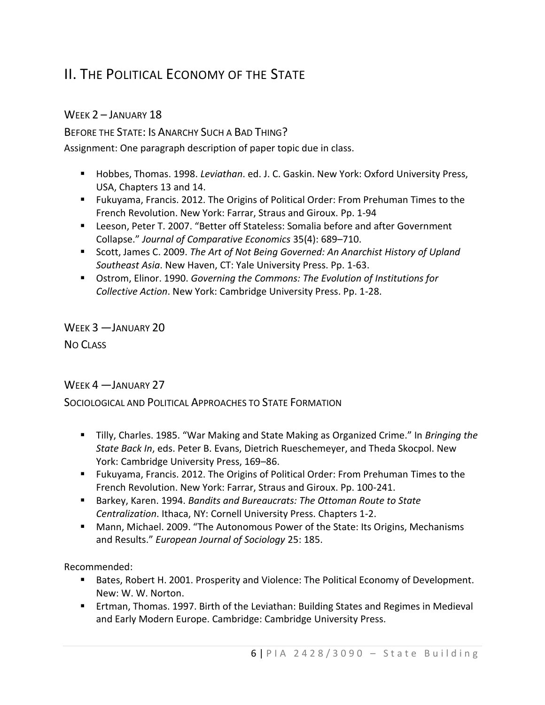# II. THE POLITICAL ECONOMY OF THE STATE

#### WEEK 2 – JANUARY 18

BEFORE THE STATE: IS ANARCHY SUCH A BAD THING?

Assignment: One paragraph description of paper topic due in class.

- Hobbes, Thomas. 1998. *Leviathan*. ed. J. C. Gaskin. New York: Oxford University Press, USA, Chapters 13 and 14.
- Fukuyama, Francis. 2012. The Origins of Political Order: From Prehuman Times to the French Revolution. New York: Farrar, Straus and Giroux. Pp. 1-94
- Leeson, Peter T. 2007. "Better off Stateless: Somalia before and after Government Collapse." *Journal of Comparative Economics* 35(4): 689–710.
- Scott, James C. 2009. *The Art of Not Being Governed: An Anarchist History of Upland Southeast Asia*. New Haven, CT: Yale University Press. Pp. 1-63.
- Ostrom, Elinor. 1990. *Governing the Commons: The Evolution of Institutions for Collective Action*. New York: Cambridge University Press. Pp. 1-28.

WEEK 3 —JANUARY 20 NO CLASS

#### WEEK 4 - JANUARY 27

SOCIOLOGICAL AND POLITICAL APPROACHES TO STATE FORMATION

- Tilly, Charles. 1985. "War Making and State Making as Organized Crime." In *Bringing the State Back In*, eds. Peter B. Evans, Dietrich Rueschemeyer, and Theda Skocpol. New York: Cambridge University Press, 169–86.
- Fukuyama, Francis. 2012. The Origins of Political Order: From Prehuman Times to the French Revolution. New York: Farrar, Straus and Giroux. Pp. 100-241.
- Barkey, Karen. 1994. *Bandits and Bureaucrats: The Ottoman Route to State Centralization*. Ithaca, NY: Cornell University Press. Chapters 1-2.
- Mann, Michael. 2009. "The Autonomous Power of the State: Its Origins, Mechanisms and Results." *European Journal of Sociology* 25: 185.

Recommended:

- Bates, Robert H. 2001. Prosperity and Violence: The Political Economy of Development. New: W. W. Norton.
- Ertman, Thomas. 1997. Birth of the Leviathan: Building States and Regimes in Medieval and Early Modern Europe. Cambridge: Cambridge University Press.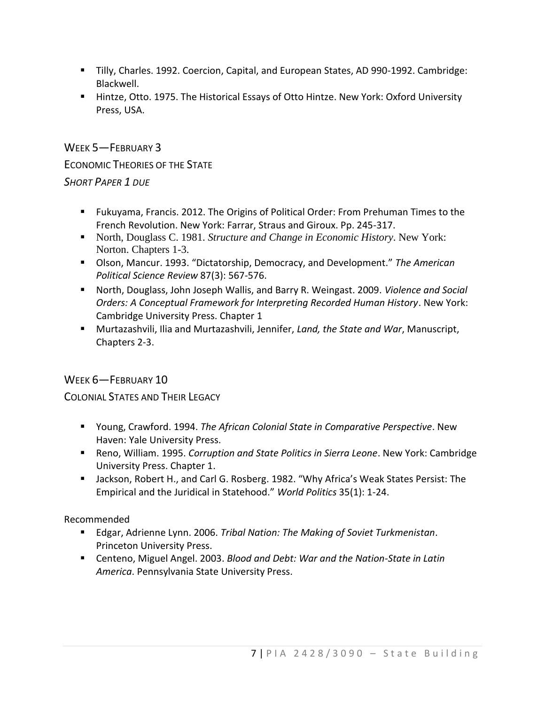- Tilly, Charles. 1992. Coercion, Capital, and European States, AD 990-1992. Cambridge: Blackwell.
- Hintze, Otto. 1975. The Historical Essays of Otto Hintze. New York: Oxford University Press, USA.

WEEK 5—FEBRUARY 3 ECONOMIC THEORIES OF THE STATE *SHORT PAPER 1 DUE*

- Fukuyama, Francis. 2012. The Origins of Political Order: From Prehuman Times to the French Revolution. New York: Farrar, Straus and Giroux. Pp. 245-317.
- North, Douglass C. 1981. *Structure and Change in Economic History*. New York: Norton. Chapters 1-3.
- Olson, Mancur. 1993. "Dictatorship, Democracy, and Development." *The American Political Science Review* 87(3): 567-576.
- North, Douglass, John Joseph Wallis, and Barry R. Weingast. 2009. *Violence and Social Orders: A Conceptual Framework for Interpreting Recorded Human History*. New York: Cambridge University Press. Chapter 1
- Murtazashvili, Ilia and Murtazashvili, Jennifer, *Land, the State and War*, Manuscript, Chapters 2-3.

#### WEEK 6-FEBRUARY 10

COLONIAL STATES AND THEIR LEGACY

- Young, Crawford. 1994. *The African Colonial State in Comparative Perspective*. New Haven: Yale University Press.
- Reno, William. 1995. *Corruption and State Politics in Sierra Leone*. New York: Cambridge University Press. Chapter 1.
- Jackson, Robert H., and Carl G. Rosberg. 1982. "Why Africa's Weak States Persist: The Empirical and the Juridical in Statehood." *World Politics* 35(1): 1-24.

Recommended

- Edgar, Adrienne Lynn. 2006. *Tribal Nation: The Making of Soviet Turkmenistan*. Princeton University Press.
- Centeno, Miguel Angel. 2003. *Blood and Debt: War and the Nation-State in Latin America*. Pennsylvania State University Press.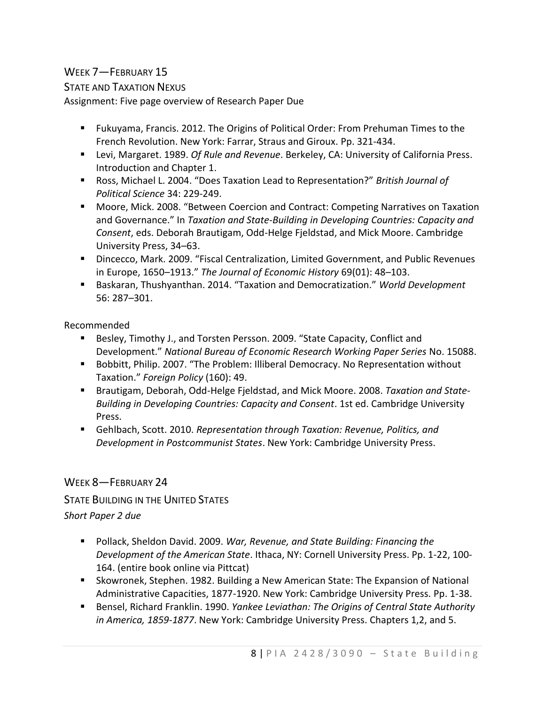#### WEEK 7—FEBRUARY 15

STATE AND TAXATION NEXUS

Assignment: Five page overview of Research Paper Due

- Fukuyama, Francis. 2012. The Origins of Political Order: From Prehuman Times to the French Revolution. New York: Farrar, Straus and Giroux. Pp. 321-434.
- Levi, Margaret. 1989. *Of Rule and Revenue*. Berkeley, CA: University of California Press. Introduction and Chapter 1.
- Ross, Michael L. 2004. "Does Taxation Lead to Representation?" *British Journal of Political Science* 34: 229-249.
- Moore, Mick. 2008. "Between Coercion and Contract: Competing Narratives on Taxation and Governance." In *Taxation and State-Building in Developing Countries: Capacity and Consent*, eds. Deborah Brautigam, Odd-Helge Fjeldstad, and Mick Moore. Cambridge University Press, 34–63.
- Dincecco, Mark. 2009. "Fiscal Centralization, Limited Government, and Public Revenues in Europe, 1650–1913." *The Journal of Economic History* 69(01): 48–103.
- Baskaran, Thushyanthan. 2014. "Taxation and Democratization." *World Development* 56: 287–301.

Recommended

- Besley, Timothy J., and Torsten Persson. 2009. "State Capacity, Conflict and Development." *National Bureau of Economic Research Working Paper Series* No. 15088.
- **Bobbitt, Philip. 2007. "The Problem: Illiberal Democracy. No Representation without** Taxation." *Foreign Policy* (160): 49.
- Brautigam, Deborah, Odd-Helge Fjeldstad, and Mick Moore. 2008. *Taxation and State-Building in Developing Countries: Capacity and Consent*. 1st ed. Cambridge University Press.
- Gehlbach, Scott. 2010. *Representation through Taxation: Revenue, Politics, and Development in Postcommunist States*. New York: Cambridge University Press.

#### WEEK 8-FEBRUARY 24

STATE BUILDING IN THE UNITED STATES

#### *Short Paper 2 due*

- Pollack, Sheldon David. 2009. *War, Revenue, and State Building: Financing the Development of the American State*. Ithaca, NY: Cornell University Press. Pp. 1-22, 100- 164. (entire book online via Pittcat)
- Skowronek, Stephen. 1982. Building a New American State: The Expansion of National Administrative Capacities, 1877-1920. New York: Cambridge University Press. Pp. 1-38.
- Bensel, Richard Franklin. 1990. *Yankee Leviathan: The Origins of Central State Authority in America, 1859-1877*. New York: Cambridge University Press. Chapters 1,2, and 5.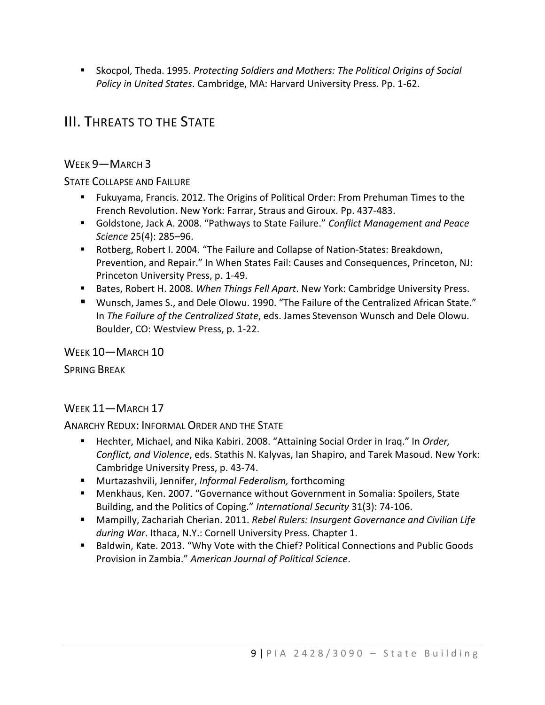Skocpol, Theda. 1995. *Protecting Soldiers and Mothers: The Political Origins of Social Policy in United States*. Cambridge, MA: Harvard University Press. Pp. 1-62.

# III. THREATS TO THE STATE

#### WEEK 9—MARCH 3

#### STATE COLLAPSE AND FAILURE

- Fukuyama, Francis. 2012. The Origins of Political Order: From Prehuman Times to the French Revolution. New York: Farrar, Straus and Giroux. Pp. 437-483.
- Goldstone, Jack A. 2008. "Pathways to State Failure." *Conflict Management and Peace Science* 25(4): 285–96.
- Rotberg, Robert I. 2004. "The Failure and Collapse of Nation-States: Breakdown, Prevention, and Repair." In When States Fail: Causes and Consequences, Princeton, NJ: Princeton University Press, p. 1-49.
- Bates, Robert H. 2008. *When Things Fell Apart*. New York: Cambridge University Press.
- Wunsch, James S., and Dele Olowu. 1990. "The Failure of the Centralized African State." In *The Failure of the Centralized State*, eds. James Stevenson Wunsch and Dele Olowu. Boulder, CO: Westview Press, p. 1-22.

#### WEEK 10—MARCH 10

SPRING BREAK

#### WEEK 11—MARCH 17

ANARCHY REDUX: INFORMAL ORDER AND THE STATE

- Hechter, Michael, and Nika Kabiri. 2008. "Attaining Social Order in Iraq." In *Order*, *Conflict, and Violence*, eds. Stathis N. Kalyvas, Ian Shapiro, and Tarek Masoud. New York: Cambridge University Press, p. 43-74.
- Murtazashvili, Jennifer, *Informal Federalism,* forthcoming
- Menkhaus, Ken. 2007. "Governance without Government in Somalia: Spoilers, State Building, and the Politics of Coping." *International Security* 31(3): 74-106.
- Mampilly, Zachariah Cherian. 2011. *Rebel Rulers: Insurgent Governance and Civilian Life during War*. Ithaca, N.Y.: Cornell University Press. Chapter 1.
- **Baldwin, Kate. 2013. "Why Vote with the Chief? Political Connections and Public Goods** Provision in Zambia." *American Journal of Political Science*.